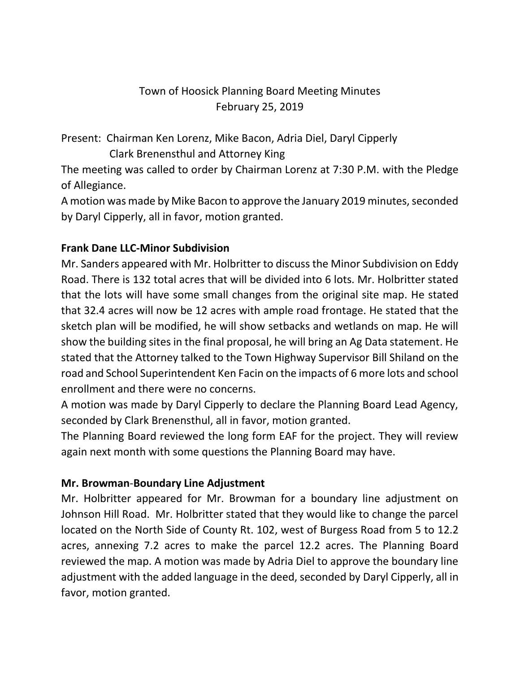## Town of Hoosick Planning Board Meeting Minutes February 25, 2019

Present: Chairman Ken Lorenz, Mike Bacon, Adria Diel, Daryl Cipperly Clark Brenensthul and Attorney King

The meeting was called to order by Chairman Lorenz at 7:30 P.M. with the Pledge of Allegiance.

A motion was made by Mike Bacon to approve the January 2019 minutes, seconded by Daryl Cipperly, all in favor, motion granted.

### **Frank Dane LLC-Minor Subdivision**

Mr. Sanders appeared with Mr. Holbritter to discuss the Minor Subdivision on Eddy Road. There is 132 total acres that will be divided into 6 lots. Mr. Holbritter stated that the lots will have some small changes from the original site map. He stated that 32.4 acres will now be 12 acres with ample road frontage. He stated that the sketch plan will be modified, he will show setbacks and wetlands on map. He will show the building sites in the final proposal, he will bring an Ag Data statement. He stated that the Attorney talked to the Town Highway Supervisor Bill Shiland on the road and School Superintendent Ken Facin on the impacts of 6 more lots and school enrollment and there were no concerns.

A motion was made by Daryl Cipperly to declare the Planning Board Lead Agency, seconded by Clark Brenensthul, all in favor, motion granted.

The Planning Board reviewed the long form EAF for the project. They will review again next month with some questions the Planning Board may have.

#### **Mr. Browman**-**Boundary Line Adjustment**

Mr. Holbritter appeared for Mr. Browman for a boundary line adjustment on Johnson Hill Road. Mr. Holbritter stated that they would like to change the parcel located on the North Side of County Rt. 102, west of Burgess Road from 5 to 12.2 acres, annexing 7.2 acres to make the parcel 12.2 acres. The Planning Board reviewed the map. A motion was made by Adria Diel to approve the boundary line adjustment with the added language in the deed, seconded by Daryl Cipperly, all in favor, motion granted.